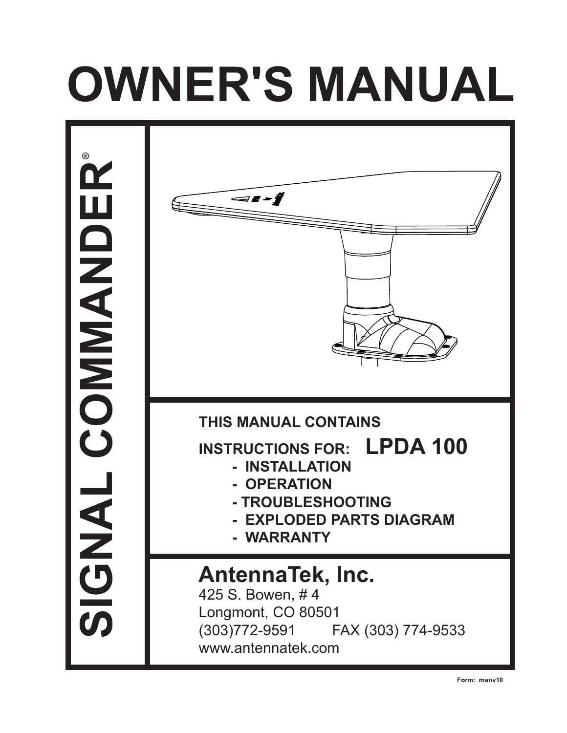# **OWNER'S MANUAL**

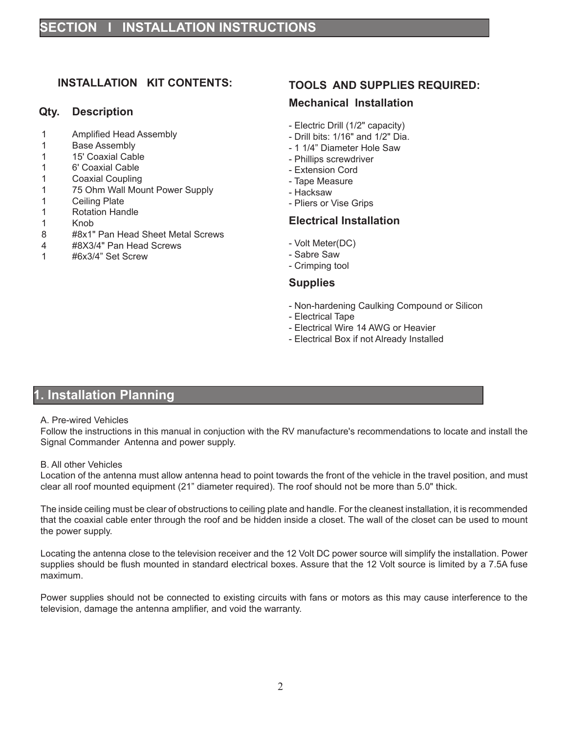# **INSTALLATION KIT CONTENTS:**

## **Qty. Description**

- 1 Amplified Head Assembly
- 1 Base Assembly
- 1 15' Coaxial Cable
- 1 6' Coaxial Cable
- 1 Coaxial Coupling
- 1 75 Ohm Wall Mount Power Supply
- 1 Ceiling Plate
- 1 Rotation Handle
- 1 Knob<br>8 #8x1"
- 8 #8x1" Pan Head Sheet Metal Screws
- 4 #8X3/4" Pan Head Screws
- 1 #6x3/4" Set Screw

## **TOOLS AND SUPPLIES REQUIRED:**

## **Mechanical Installation**

- Electric Drill (1/2" capacity)
- Drill bits: 1/16" and 1/2" Dia.
- 1 1/4" Diameter Hole Saw
- Phillips screwdriver
- Extension Cord
- Tape Measure
- Hacksaw
- Pliers or Vise Grips

## **Electrical Installation**

- Volt Meter(DC)
- Sabre Saw
- Crimping tool

## **Supplies**

- Non-hardening Caulking Compound or Silicon
- Electrical Tape
- Electrical Wire 14 AWG or Heavier
- Electrical Box if not Already Installed

# **1. Installation Planning**

## A. Pre-wired Vehicles

Follow the instructions in this manual in conjuction with the RV manufacture's recommendations to locate and install the Signal Commander Antenna and power supply.

#### B. All other Vehicles

Location of the antenna must allow antenna head to point towards the front of the vehicle in the travel position, and must clear all roof mounted equipment (21" diameter required). The roof should not be more than 5.0" thick.

The inside ceiling must be clear of obstructions to ceiling plate and handle. For the cleanest installation, it is recommended that the coaxial cable enter through the roof and be hidden inside a closet. The wall of the closet can be used to mount the power supply.

Locating the antenna close to the television receiver and the 12 Volt DC power source will simplify the installation. Power supplies should be flush mounted in standard electrical boxes. Assure that the 12 Volt source is limited by a 7.5A fuse maximum.

Power supplies should not be connected to existing circuits with fans or motors as this may cause interference to the television, damage the antenna amplifier, and void the warranty.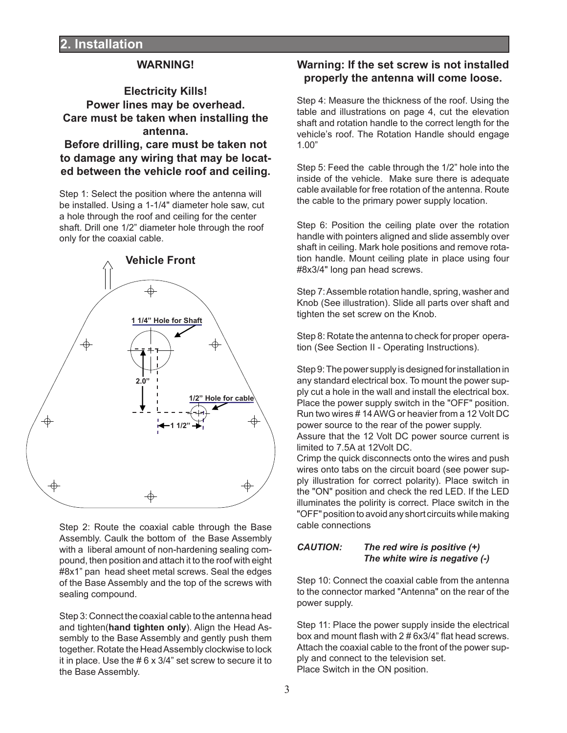## **WARNING!**

# **Electricity Kills! Power lines may be overhead. Care must be taken when installing the antenna.**

**Before drilling, care must be taken not to damage any wiring that may be located between the vehicle roof and ceiling.**

Step 1: Select the position where the antenna will be installed. Using a 1-1/4" diameter hole saw, cut a hole through the roof and ceiling for the center shaft. Drill one 1/2" diameter hole through the roof only for the coaxial cable.



Step 2: Route the coaxial cable through the Base Assembly. Caulk the bottom of the Base Assembly with a liberal amount of non-hardening sealing compound, then position and attach it to the roof with eight #8x1" pan head sheet metal screws. Seal the edges of the Base Assembly and the top of the screws with sealing compound.

Step 3: Connect the coaxial cable to the antenna head and tighten(**hand tighten only**). Align the Head Assembly to the Base Assembly and gently push them together. Rotate the Head Assembly clockwise to lock it in place. Use the # 6 x 3/4" set screw to secure it to the Base Assembly.

# **Warning: If the set screw is not installed properly the antenna will come loose.**

Step 4: Measure the thickness of the roof. Using the table and illustrations on page 4, cut the elevation shaft and rotation handle to the correct length for the vehicle's roof. The Rotation Handle should engage 1.00"

Step 5: Feed the cable through the 1/2" hole into the inside of the vehicle. Make sure there is adequate cable available for free rotation of the antenna. Route the cable to the primary power supply location.

Step 6: Position the ceiling plate over the rotation handle with pointers aligned and slide assembly over shaft in ceiling. Mark hole positions and remove rotation handle. Mount ceiling plate in place using four #8x3/4" long pan head screws.

Step 7: Assemble rotation handle, spring, washer and Knob (See illustration). Slide all parts over shaft and tighten the set screw on the Knob.

Step 8: Rotate the antenna to check for proper operation (See Section II - Operating Instructions).

Step 9: The power supply is designed for installation in any standard electrical box. To mount the power supply cut a hole in the wall and install the electrical box. Place the power supply switch in the "OFF" position. Run two wires # 14 AWG or heavier from a 12 Volt DC power source to the rear of the power supply. Assure that the 12 Volt DC power source current is limited to 7.5A at 12Volt DC. eslins in space the bull the row the countries of the countries of the countries of the countries of the countries of the countries of the countries of the countries of the countries of the countries of the countries of th

Crimp the quick disconnects onto the wires and push wires onto tabs on the circuit board (see power supply illustration for correct polarity). Place switch in the "ON" position and check the red LED. If the LED illuminates the polirity is correct. Place switch in the "OFF" position to avoid any short circuits while making cable connections

## *CAUTION: The red wire is positive (+) The white wire is negative (-)*

Step 10: Connect the coaxial cable from the antenna to the connector marked "Antenna" on the rear of the power supply.

Step 11: Place the power supply inside the electrical box and mount flash with 2 # 6x3/4" flat head screws. Attach the coaxial cable to the front of the power supply and connect to the television set. Place Switch in the ON position.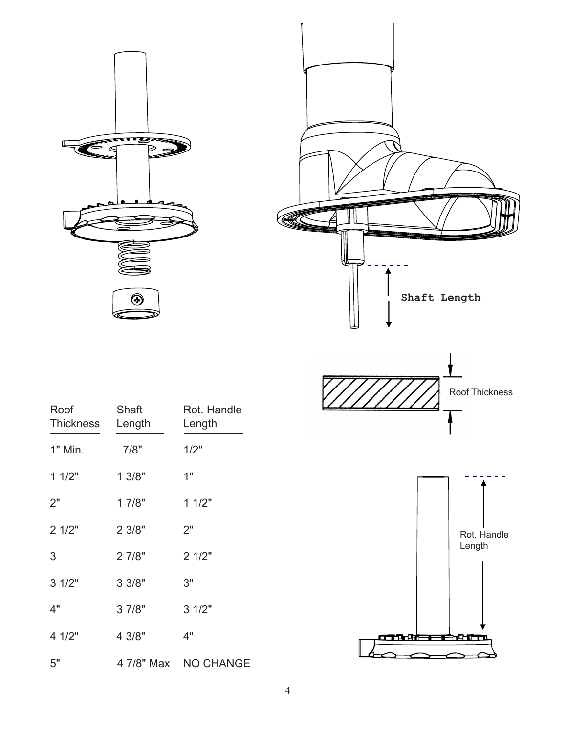







| Roof<br>Thickness | Shaft<br>Length | Rot. Handle<br>Length |                           |
|-------------------|-----------------|-----------------------|---------------------------|
| 1" Min.           | 7/8"            | 1/2"                  |                           |
| 11/2"             | 13/8"           | 1"                    |                           |
| 2"                | 17/8"           | 11/2"                 |                           |
| 21/2"             | 23/8"           | 2"                    | Rot. Handle               |
| $\mathfrak{S}$    | 2 7/8"          | 21/2"                 | Length                    |
| 31/2"             | 3 3/8"          | 3"                    |                           |
| 4"                | 3 7/8"          | 31/2"                 |                           |
| 4 1/2"            | 4 3/8"          | 4"                    | an di kacamatan Gabriera. |
| $5"$              | 4 7/8" Max      | NO CHANGE             |                           |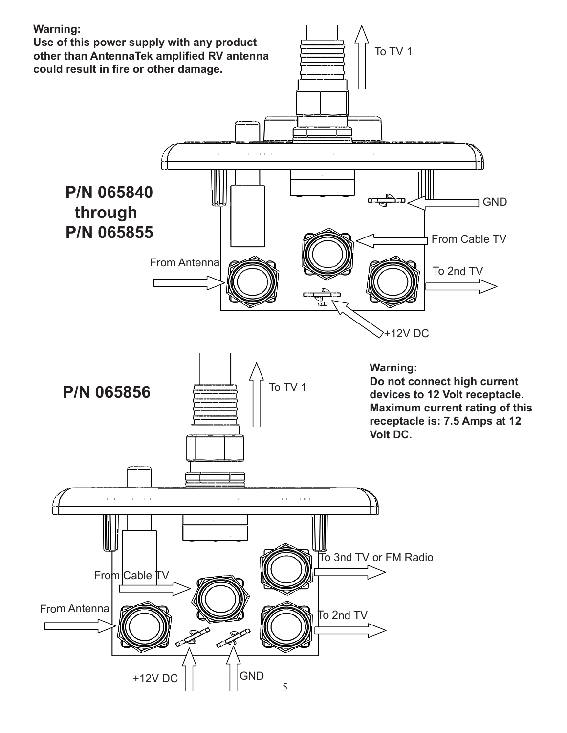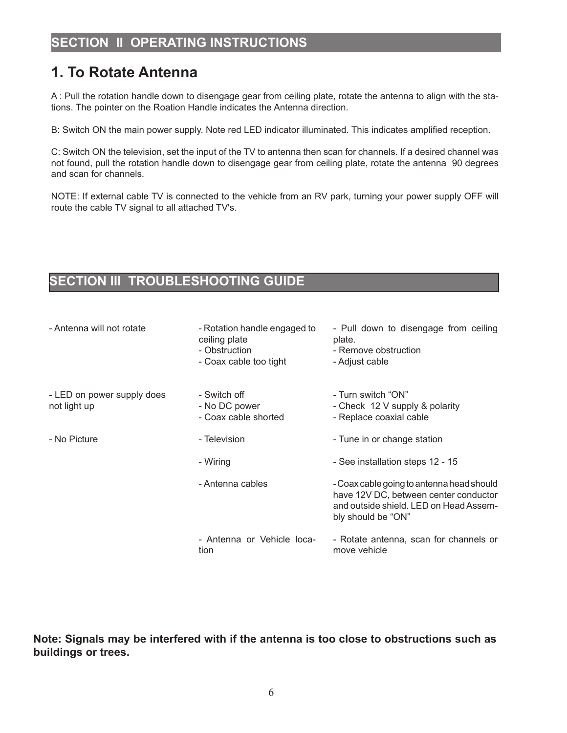# **1. To Rotate Antenna**

A : Pull the rotation handle down to disengage gear from ceiling plate, rotate the antenna to align with the stations. The pointer on the Roation Handle indicates the Antenna direction.

B: Switch ON the main power supply. Note red LED indicator illuminated. This indicates amplified reception.

C: Switch ON the television, set the input of the TV to antenna then scan for channels. If a desired channel was not found, pull the rotation handle down to disengage gear from ceiling plate, rotate the antenna 90 degrees and scan for channels.

NOTE: If external cable TV is connected to the vehicle from an RV park, turning your power supply OFF will route the cable TV signal to all attached TV's.

# **SECTION III TROUBLESHOOTING GUIDE**

| - Antenna will not rotate                  | - Rotation handle engaged to<br>ceiling plate<br>- Obstruction<br>- Coax cable too tight | - Pull down to disengage from ceiling<br>plate.<br>- Remove obstruction<br>- Adjust cable                                                          |  |
|--------------------------------------------|------------------------------------------------------------------------------------------|----------------------------------------------------------------------------------------------------------------------------------------------------|--|
| - LED on power supply does<br>not light up | - Switch off<br>- No DC power<br>- Coax cable shorted                                    | - Turn switch "ON"<br>- Check 12 V supply & polarity<br>- Replace coaxial cable                                                                    |  |
| - No Picture                               | - Television                                                                             | - Tune in or change station                                                                                                                        |  |
|                                            | - Wiring                                                                                 | - See installation steps 12 - 15                                                                                                                   |  |
|                                            | - Antenna cables                                                                         | - Coax cable going to antenna head should<br>have 12V DC, between center conductor<br>and outside shield. LED on Head Assem-<br>bly should be "ON" |  |
|                                            | - Antenna or Vehicle loca-<br>tion                                                       | - Rotate antenna, scan for channels or<br>move vehicle                                                                                             |  |

**Note: Signals may be interfered with if the antenna is too close to obstructions such as buildings or trees.**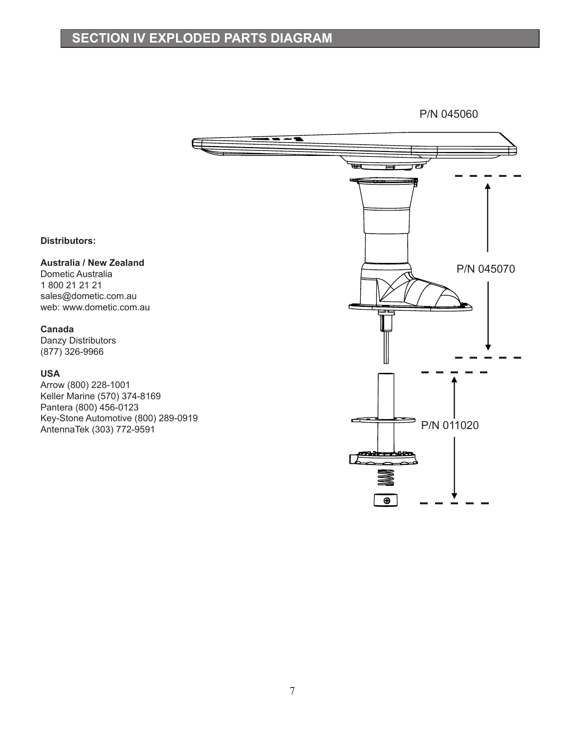# **SECTION IV EXPLODED PARTS DIAGRAM**

P/N 045060



 $\overline{\bullet}$ 

**Distributors:**

**Australia / New Zealand**

Dometic Australia 1 800 21 21 21 sales@dometic.com.au web: www.dometic.com.au

#### **Canada**

Danzy Distributors (877) 326-9966

## **USA**

Arrow (800) 228-1001 Keller Marine (570) 374-8169 Pantera (800) 456-0123 Key-Stone Automotive (800) 289-0919